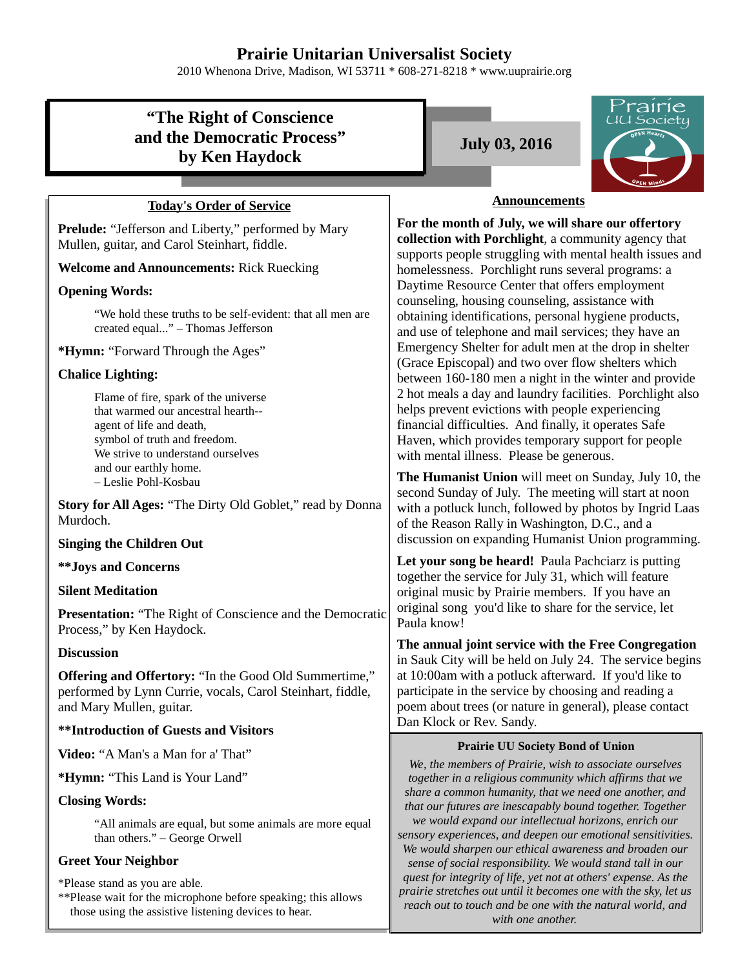## **Prairie Unitarian Universalist Society**

2010 Whenona Drive, Madison, WI 53711 \* 608-271-8218 \* www.uuprairie.org

# **"The Right of Conscience and the Democratic Process" by Ken Haydock**

## **Today's Order of Service**

**Prelude:** "Jefferson and Liberty," performed by Mary Mullen, guitar, and Carol Steinhart, fiddle.

#### **Welcome and Announcements:** Rick Ruecking

### **Opening Words:**

"We hold these truths to be self-evident: that all men are created equal..." – Thomas Jefferson

**\*Hymn:** "Forward Through the Ages"

## **Chalice Lighting:**

Flame of fire, spark of the universe that warmed our ancestral hearth- agent of life and death, symbol of truth and freedom. We strive to understand ourselves and our earthly home. – Leslie Pohl-Kosbau

**Story for All Ages:** "The Dirty Old Goblet," read by Donna Murdoch.

#### **Singing the Children Out**

#### **\*\*Joys and Concerns**

### **Silent Meditation**

**Presentation:** "The Right of Conscience and the Democratic Process," by Ken Haydock.

#### **Discussion**

**Offering and Offertory:** "In the Good Old Summertime," performed by Lynn Currie, vocals, Carol Steinhart, fiddle, and Mary Mullen, guitar.

### **\*\*Introduction of Guests and Visitors**

**Video:** "A Man's a Man for a' That"

**\*Hymn:** "This Land is Your Land"

### **Closing Words:**

"All animals are equal, but some animals are more equal than others." – George Orwell

## **Greet Your Neighbor**

\*Please stand as you are able.

\*\*Please wait for the microphone before speaking; this allows those using the assistive listening devices to hear.

**July 03, 2016**



### **Announcements**

**For the month of July, we will share our offertory collection with Porchlight**, a community agency that supports people struggling with mental health issues and homelessness. Porchlight runs several programs: a Daytime Resource Center that offers employment counseling, housing counseling, assistance with obtaining identifications, personal hygiene products, and use of telephone and mail services; they have an Emergency Shelter for adult men at the drop in shelter (Grace Episcopal) and two over flow shelters which between 160-180 men a night in the winter and provide 2 hot meals a day and laundry facilities. Porchlight also helps prevent evictions with people experiencing financial difficulties. And finally, it operates Safe Haven, which provides temporary support for people with mental illness. Please be generous.

**The Humanist Union** will meet on Sunday, July 10, the second Sunday of July. The meeting will start at noon with a potluck lunch, followed by photos by Ingrid Laas of the Reason Rally in Washington, D.C., and a discussion on expanding Humanist Union programming.

Let your song be heard! Paula Pachciarz is putting together the service for July 31, which will feature original music by Prairie members. If you have an original song you'd like to share for the service, let Paula know!

**The annual joint service with the Free Congregation** in Sauk City will be held on July 24. The service begins at 10:00am with a potluck afterward. If you'd like to participate in the service by choosing and reading a poem about trees (or nature in general), please contact Dan Klock or Rev. Sandy.

#### **Prairie UU Society Bond of Union**

*We, the members of Prairie, wish to associate ourselves together in a religious community which affirms that we share a common humanity, that we need one another, and that our futures are inescapably bound together. Together we would expand our intellectual horizons, enrich our sensory experiences, and deepen our emotional sensitivities. We would sharpen our ethical awareness and broaden our sense of social responsibility. We would stand tall in our quest for integrity of life, yet not at others' expense. As the prairie stretches out until it becomes one with the sky, let us reach out to touch and be one with the natural world, and with one another.*